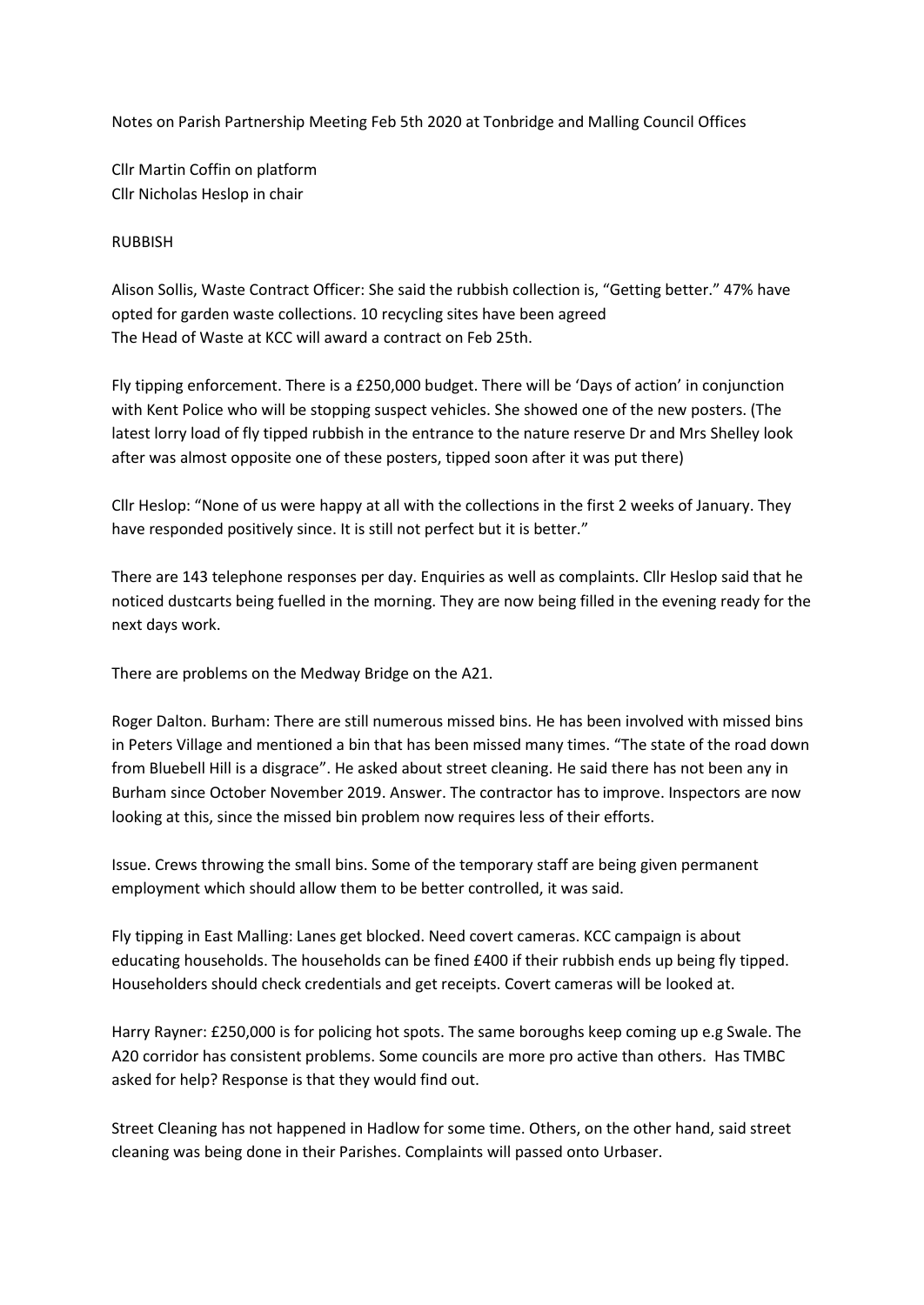Notes on Parish Partnership Meeting Feb 5th 2020 at Tonbridge and Malling Council Offices

Cllr Martin Coffin on platform Cllr Nicholas Heslop in chair

## RUBBISH

Alison Sollis, Waste Contract Officer: She said the rubbish collection is, "Getting better." 47% have opted for garden waste collections. 10 recycling sites have been agreed The Head of Waste at KCC will award a contract on Feb 25th.

Fly tipping enforcement. There is a £250,000 budget. There will be 'Days of action' in conjunction with Kent Police who will be stopping suspect vehicles. She showed one of the new posters. (The latest lorry load of fly tipped rubbish in the entrance to the nature reserve Dr and Mrs Shelley look after was almost opposite one of these posters, tipped soon after it was put there)

Cllr Heslop: "None of us were happy at all with the collections in the first 2 weeks of January. They have responded positively since. It is still not perfect but it is better."

There are 143 telephone responses per day. Enquiries as well as complaints. Cllr Heslop said that he noticed dustcarts being fuelled in the morning. They are now being filled in the evening ready for the next days work.

There are problems on the Medway Bridge on the A21.

Roger Dalton. Burham: There are still numerous missed bins. He has been involved with missed bins in Peters Village and mentioned a bin that has been missed many times. "The state of the road down from Bluebell Hill is a disgrace". He asked about street cleaning. He said there has not been any in Burham since October November 2019. Answer. The contractor has to improve. Inspectors are now looking at this, since the missed bin problem now requires less of their efforts.

Issue. Crews throwing the small bins. Some of the temporary staff are being given permanent employment which should allow them to be better controlled, it was said.

Fly tipping in East Malling: Lanes get blocked. Need covert cameras. KCC campaign is about educating households. The households can be fined £400 if their rubbish ends up being fly tipped. Householders should check credentials and get receipts. Covert cameras will be looked at.

Harry Rayner: £250,000 is for policing hot spots. The same boroughs keep coming up e.g Swale. The A20 corridor has consistent problems. Some councils are more pro active than others. Has TMBC asked for help? Response is that they would find out.

Street Cleaning has not happened in Hadlow for some time. Others, on the other hand, said street cleaning was being done in their Parishes. Complaints will passed onto Urbaser.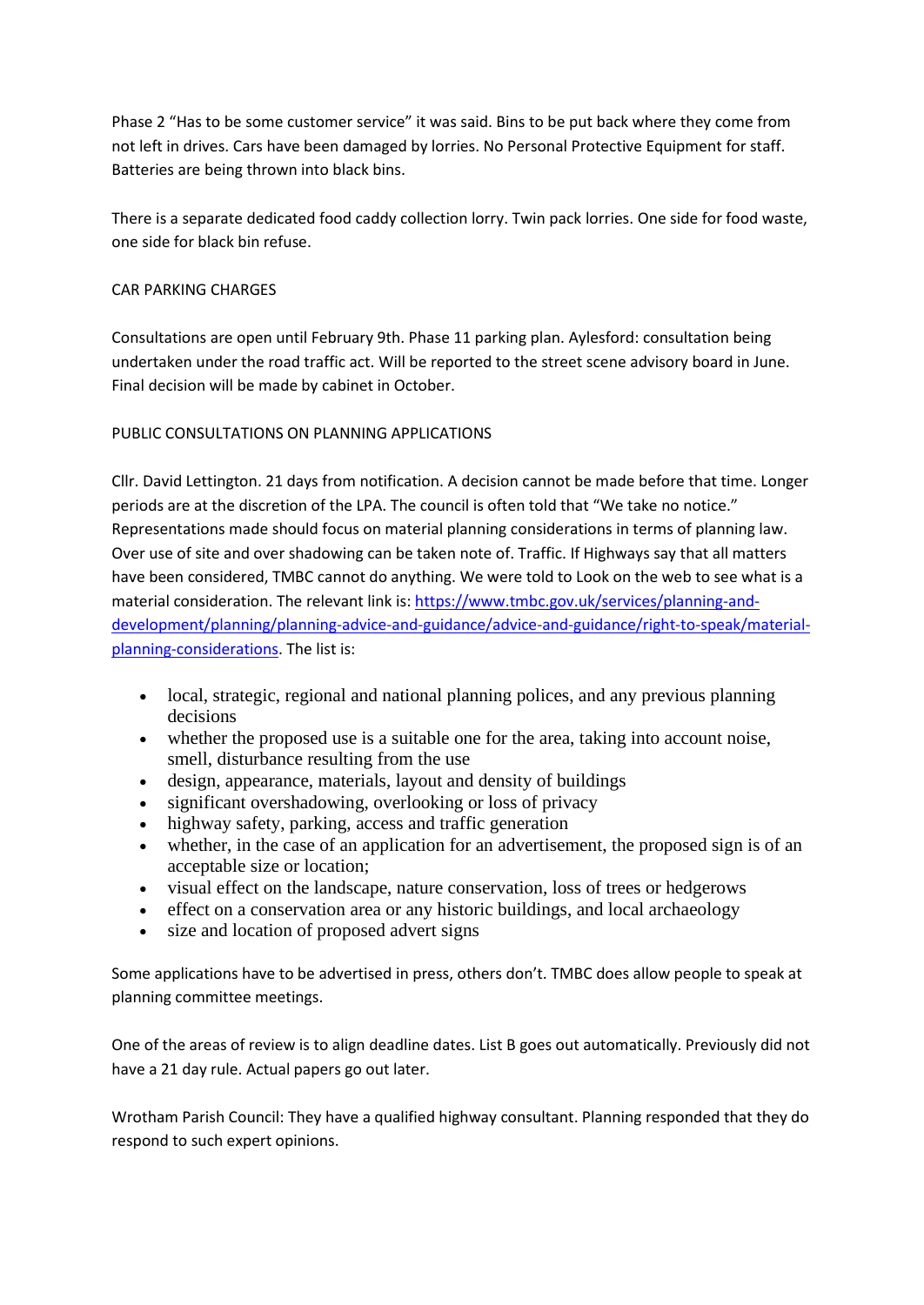Phase 2 "Has to be some customer service" it was said. Bins to be put back where they come from not left in drives. Cars have been damaged by lorries. No Personal Protective Equipment for staff. Batteries are being thrown into black bins.

There is a separate dedicated food caddy collection lorry. Twin pack lorries. One side for food waste, one side for black bin refuse.

## CAR PARKING CHARGES

Consultations are open until February 9th. Phase 11 parking plan. Aylesford: consultation being undertaken under the road traffic act. Will be reported to the street scene advisory board in June. Final decision will be made by cabinet in October.

# PUBLIC CONSULTATIONS ON PLANNING APPLICATIONS

Cllr. David Lettington. 21 days from notification. A decision cannot be made before that time. Longer periods are at the discretion of the LPA. The council is often told that "We take no notice." Representations made should focus on material planning considerations in terms of planning law. Over use of site and over shadowing can be taken note of. Traffic. If Highways say that all matters have been considered, TMBC cannot do anything. We were told to Look on the web to see what is a material consideration. The relevant link is[: https://www.tmbc.gov.uk/services/planning-and](https://www.tmbc.gov.uk/services/planning-and-development/planning/planning-advice-and-guidance/advice-and-guidance/right-to-speak/material-planning-considerations)[development/planning/planning-advice-and-guidance/advice-and-guidance/right-to-speak/material](https://www.tmbc.gov.uk/services/planning-and-development/planning/planning-advice-and-guidance/advice-and-guidance/right-to-speak/material-planning-considerations)[planning-considerations.](https://www.tmbc.gov.uk/services/planning-and-development/planning/planning-advice-and-guidance/advice-and-guidance/right-to-speak/material-planning-considerations) The list is:

- local, strategic, regional and national planning polices, and any previous planning decisions
- whether the proposed use is a suitable one for the area, taking into account noise, smell, disturbance resulting from the use
- design, appearance, materials, layout and density of buildings
- significant overshadowing, overlooking or loss of privacy
- highway safety, parking, access and traffic generation
- whether, in the case of an application for an advertisement, the proposed sign is of an acceptable size or location;
- visual effect on the landscape, nature conservation, loss of trees or hedgerows
- effect on a conservation area or any historic buildings, and local archaeology
- size and location of proposed advert signs

Some applications have to be advertised in press, others don't. TMBC does allow people to speak at planning committee meetings.

One of the areas of review is to align deadline dates. List B goes out automatically. Previously did not have a 21 day rule. Actual papers go out later.

Wrotham Parish Council: They have a qualified highway consultant. Planning responded that they do respond to such expert opinions.